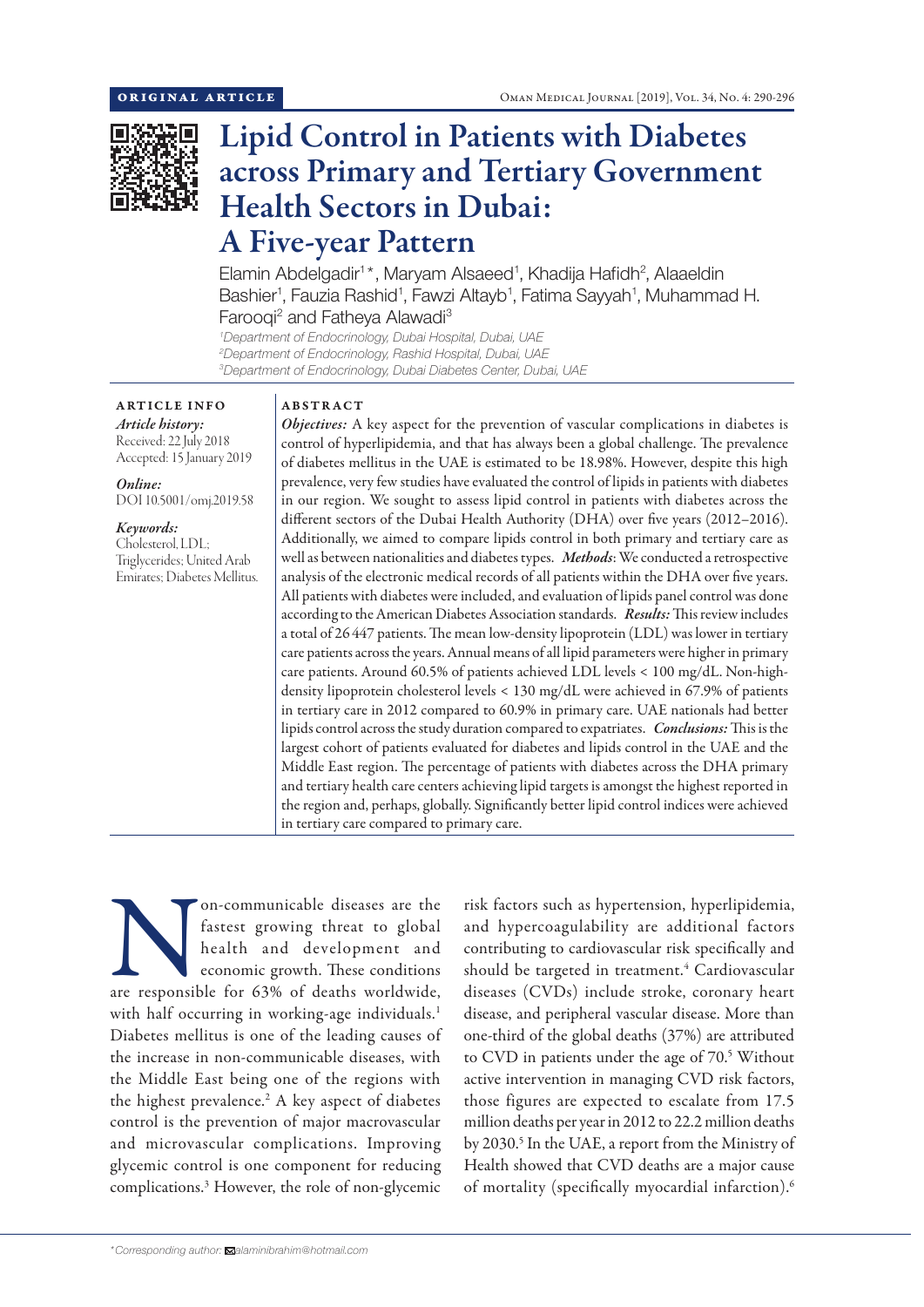

# Lipid Control in Patients with Diabetes across Primary and Tertiary Government Health Sectors in Dubai: A Five-year Pattern

Elamin Abdelgadir<sup>1\*</sup>, Maryam Alsaeed<sup>1</sup>, Khadija Hafidh<sup>2</sup>, Alaaeldin Bashier<sup>1</sup>, Fauzia Rashid<sup>1</sup>, Fawzi Altayb<sup>1</sup>, Fatima Sayyah<sup>1</sup>, Muhammad H. Farooqi<sup>2</sup> and Fatheya Alawadi<sup>3</sup>

*1 Department of Endocrinology, Dubai Hospital, Dubai, UAE 2 Department of Endocrinology, Rashid Hospital, Dubai, UAE 3 Department of Endocrinology, Dubai Diabetes Center, Dubai, UAE*

ARTICLE INFO *Article history:*

Received: 22 July 2018 Accepted: 15 January 2019

*Online:* DOI 10.5001/omj.2019.58

*Keywords:*  Cholesterol, LDL; Triglycerides; United Arab Emirates; Diabetes Mellitus.

### ABSTRACT

*Objectives:* A key aspect for the prevention of vascular complications in diabetes is control of hyperlipidemia, and that has always been a global challenge. The prevalence of diabetes mellitus in the UAE is estimated to be 18.98%. However, despite this high prevalence, very few studies have evaluated the control of lipids in patients with diabetes in our region. We sought to assess lipid control in patients with diabetes across the different sectors of the Dubai Health Authority (DHA) over five years (2012–2016). Additionally, we aimed to compare lipids control in both primary and tertiary care as well as between nationalities and diabetes types. *Methods*: We conducted a retrospective analysis of the electronic medical records of all patients within the DHA over five years. All patients with diabetes were included, and evaluation of lipids panel control was done according to the American Diabetes Association standards. *Results:* This review includes a total of 26 447 patients. The mean low-density lipoprotein (LDL) was lower in tertiary care patients across the years. Annual means of all lipid parameters were higher in primary care patients. Around 60.5% of patients achieved LDL levels < 100 mg/dL. Non-highdensity lipoprotein cholesterol levels < 130 mg/dL were achieved in 67.9% of patients in tertiary care in 2012 compared to 60.9% in primary care. UAE nationals had better lipids control across the study duration compared to expatriates. *Conclusions:* This is the largest cohort of patients evaluated for diabetes and lipids control in the UAE and the Middle East region. The percentage of patients with diabetes across the DHA primary and tertiary health care centers achieving lipid targets is amongst the highest reported in the region and, perhaps, globally. Significantly better lipid control indices were achieved in tertiary care compared to primary care.

Incommunicable diseases are the fastest growing threat to global health and development and economic growth. These conditions are responsible for 63% of deaths worldwide, fastest growing threat to global health and development and economic growth. These conditions with half occurring in working-age individuals.<sup>1</sup> Diabetes mellitus is one of the leading causes of the increase in non-communicable diseases, with the Middle East being one of the regions with the highest prevalence.<sup>2</sup> A key aspect of diabetes control is the prevention of major macrovascular and microvascular complications. Improving glycemic control is one component for reducing complications.3 However, the role of non-glycemic

risk factors such as hypertension, hyperlipidemia, and hypercoagulability are additional factors contributing to cardiovascular risk specifically and should be targeted in treatment.<sup>4</sup> Cardiovascular diseases (CVDs) include stroke, coronary heart disease, and peripheral vascular disease. More than one-third of the global deaths (37%) are attributed to CVD in patients under the age of 70.<sup>5</sup> Without active intervention in managing CVD risk factors, those figures are expected to escalate from 17.5 million deaths per year in 2012 to 22.2 million deaths by 2030.<sup>5</sup> In the UAE, a report from the Ministry of Health showed that CVD deaths are a major cause of mortality (specifically myocardial infarction).6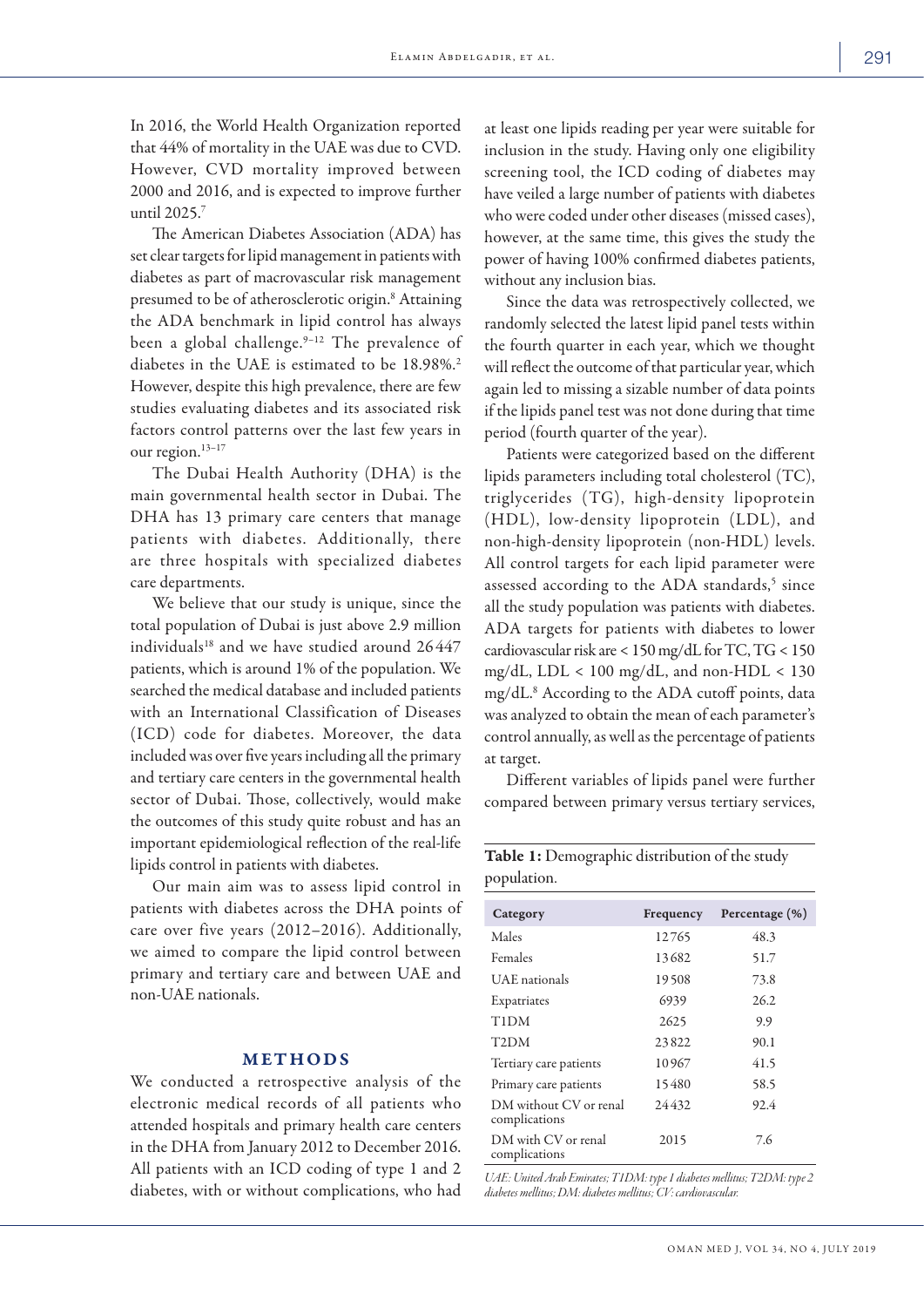In 2016, the World Health Organization reported that 44% of mortality in the UAE was due to CVD. However, CVD mortality improved between 2000 and 2016, and is expected to improve further until 2025.7

The American Diabetes Association (ADA) has set clear targets for lipid management in patients with diabetes as part of macrovascular risk management presumed to be of atherosclerotic origin.<sup>8</sup> Attaining the ADA benchmark in lipid control has always been a global challenge.<sup>9-12</sup> The prevalence of diabetes in the UAE is estimated to be 18.98%.<sup>2</sup> However, despite this high prevalence, there are few studies evaluating diabetes and its associated risk factors control patterns over the last few years in our region.<sup>13-17</sup>

The Dubai Health Authority (DHA) is the main governmental health sector in Dubai. The DHA has 13 primary care centers that manage patients with diabetes. Additionally, there are three hospitals with specialized diabetes care departments.

We believe that our study is unique, since the total population of Dubai is just above 2.9 million individuals<sup>18</sup> and we have studied around 26447 patients, which is around 1% of the population. We searched the medical database and included patients with an International Classification of Diseases (ICD) code for diabetes. Moreover, the data included was over five years including all the primary and tertiary care centers in the governmental health sector of Dubai. Those, collectively, would make the outcomes of this study quite robust and has an important epidemiological reflection of the real-life lipids control in patients with diabetes.

Our main aim was to assess lipid control in patients with diabetes across the DHA points of care over five years (2012–2016). Additionally, we aimed to compare the lipid control between primary and tertiary care and between UAE and non-UAE nationals.

### METHODS

We conducted a retrospective analysis of the electronic medical records of all patients who attended hospitals and primary health care centers in the DHA from January 2012 to December 2016. All patients with an ICD coding of type 1 and 2 diabetes, with or without complications, who had

at least one lipids reading per year were suitable for inclusion in the study. Having only one eligibility screening tool, the ICD coding of diabetes may have veiled a large number of patients with diabetes who were coded under other diseases (missed cases), however, at the same time, this gives the study the power of having 100% confirmed diabetes patients, without any inclusion bias.

Since the data was retrospectively collected, we randomly selected the latest lipid panel tests within the fourth quarter in each year, which we thought will reflect the outcome of that particular year, which again led to missing a sizable number of data points if the lipids panel test was not done during that time period (fourth quarter of the year).

Patients were categorized based on the different lipids parameters including total cholesterol (TC), triglycerides (TG), high-density lipoprotein (HDL), low-density lipoprotein (LDL), and non-high-density lipoprotein (non-HDL) levels. All control targets for each lipid parameter were assessed according to the ADA standards,<sup>5</sup> since all the study population was patients with diabetes. ADA targets for patients with diabetes to lower cardiovascular risk are < 150 mg/dL for TC, TG < 150 mg/dL, LDL < 100 mg/dL, and non-HDL < 130 mg/dL.8 According to the ADA cutoff points, data was analyzed to obtain the mean of each parameter's control annually, as well as the percentage of patients at target.

Different variables of lipids panel were further compared between primary versus tertiary services,

Table 1: Demographic distribution of the study

| population.                             |           |                |  |  |  |  |  |
|-----------------------------------------|-----------|----------------|--|--|--|--|--|
| Category                                | Frequency | Percentage (%) |  |  |  |  |  |
| Males                                   | 12765     | 48.3           |  |  |  |  |  |
| Females                                 | 13682     | 51.7           |  |  |  |  |  |
| UAE nationals                           | 19508     | 73.8           |  |  |  |  |  |
| Expatriates                             | 6939      | 26.2           |  |  |  |  |  |
| T <sub>1</sub> D <sub>M</sub>           | 2625      | 9.9            |  |  |  |  |  |
| T <sub>2</sub> DM                       | 23822     | 90.1           |  |  |  |  |  |
| Tertiary care patients                  | 10967     | 41.5           |  |  |  |  |  |
| Primary care patients                   | 15480     | 58.5           |  |  |  |  |  |
| DM without CV or renal<br>complications | 24432     | 92.4           |  |  |  |  |  |
| DM with CV or renal<br>complications    | 2015      | 7.6            |  |  |  |  |  |

*UAE: United Arab Emirates; T1DM: type 1 diabetes mellitus; T2DM: type 2 diabetes mellitus; DM: diabetes mellitus; CV: cardiovascular.*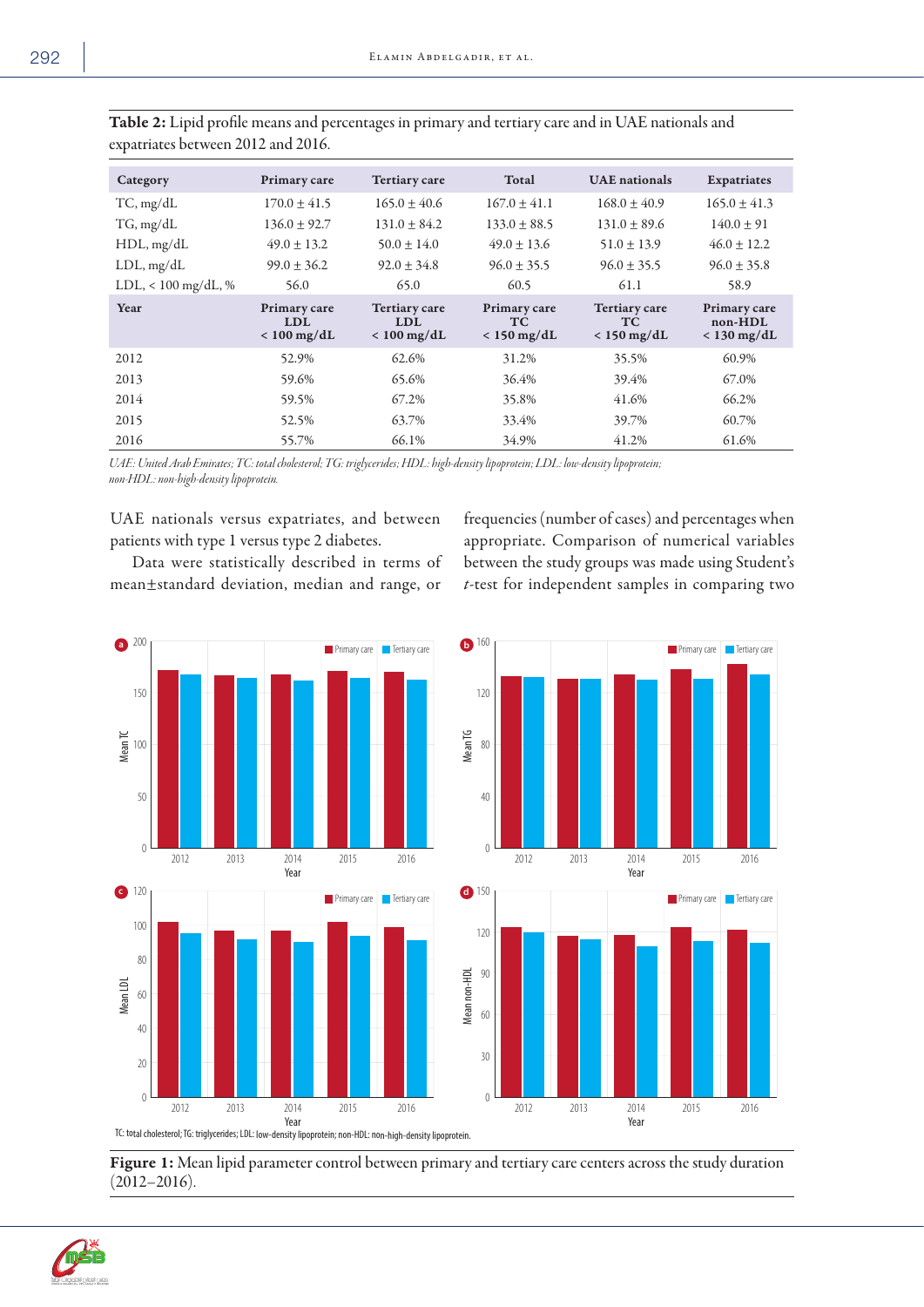| ۰.<br>× |  |
|---------|--|
|---------|--|

| Category              | Primary care                                | <b>Tertiary care</b>                                | Total                                      | <b>UAE</b> nationals                         | Expatriates                              |
|-----------------------|---------------------------------------------|-----------------------------------------------------|--------------------------------------------|----------------------------------------------|------------------------------------------|
| TC, mg/dL             | $170.0 \pm 41.5$                            | $165.0 \pm 40.6$                                    | $167.0 \pm 41.1$                           | $168.0 \pm 40.9$                             | $165.0 \pm 41.3$                         |
| TG, mg/dL             | $136.0 \pm 92.7$                            | $131.0 \pm 84.2$                                    | $133.0 \pm 88.5$                           | $131.0 \pm 89.6$                             | $140.0 \pm 91$                           |
| $HDL$ , mg/dL         | $49.0 \pm 13.2$                             | $50.0 + 14.0$                                       | $49.0 \pm 13.6$                            | $51.0 \pm 13.9$                              | $46.0 \pm 12.2$                          |
| $LDL$ , mg/d $L$      | $99.0 + 36.2$                               | $92.0 \pm 34.8$                                     | $96.0 \pm 35.5$                            | $96.0 \pm 35.5$                              | $96.0 \pm 35.8$                          |
| $LDL, < 100$ mg/dL, % | 56.0                                        | 65.0                                                | 60.5                                       | 61.1                                         | 58.9                                     |
| Year                  | Primary care<br><b>LDL</b><br>$< 100$ mg/dL | <b>Tertiary care</b><br><b>LDL</b><br>$< 100$ mg/dL | Primary care<br><b>TC</b><br>$< 150$ mg/dL | <b>Tertiary care</b><br>TC.<br>$< 150$ mg/dL | Primary care<br>non-HDL<br>$< 130$ mg/dL |
| 2012                  | 52.9%                                       | 62.6%                                               | 31.2%                                      | 35.5%                                        | 60.9%                                    |
| 2013                  | 59.6%                                       | 65.6%                                               | 36.4%                                      | 39.4%                                        | 67.0%                                    |
| 2014                  | 59.5%                                       | 67.2%                                               | 35.8%                                      | 41.6%                                        | 66.2%                                    |
| 2015                  | 52.5%                                       | 63.7%                                               | 33.4%                                      | 39.7%                                        | 60.7%                                    |
| 2016                  | 55.7%                                       | 66.1%                                               | 34.9%                                      | 41.2%                                        | 61.6%                                    |

Table 2: Lipid profile means and percentages in primary and tertiary care and in UAE nationals and expatriates between 2012 and 2016.

*UAE: United Arab Emirates; TC: total cholesterol; TG: triglycerides; HDL: high-density lipoprotein; LDL: low-density lipoprotein; non-HDL: non-high-density lipoprotein.*

UAE nationals versus expatriates, and between patients with type 1 versus type 2 diabetes.

Data were statistically described in terms of mean±standard deviation, median and range, or

frequencies (number of cases) and percentages when appropriate. Comparison of numerical variables between the study groups was made using Student's *t*-test for independent samples in comparing two







Figure 1: Mean lipid parameter control between primary and tertiary care centers across the study duration (2012–2016).

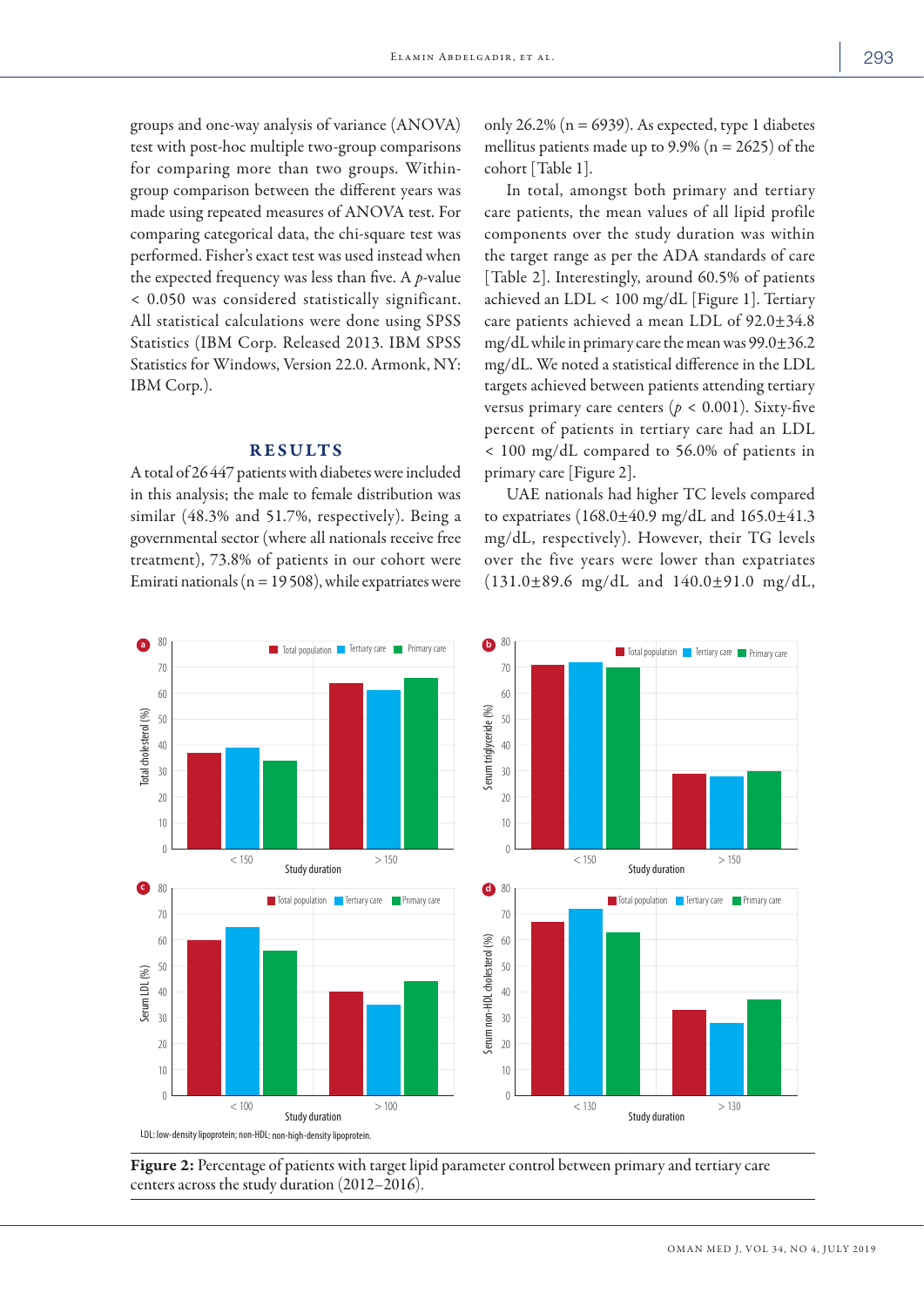groups and one-way analysis of variance (ANOVA) test with post-hoc multiple two-group comparisons for comparing more than two groups. Withingroup comparison between the different years was made using repeated measures of ANOVA test. For comparing categorical data, the chi-square test was performed. Fisher's exact test was used instead when the expected frequency was less than five. A *p*-value < 0.050 was considered statistically significant. All statistical calculations were done using SPSS Statistics (IBM Corp. Released 2013. IBM SPSS Statistics for Windows, Version 22.0. Armonk, NY: IBM Corp.).

# RESULTS

A total of 26447 patients with diabetes were included in this analysis; the male to female distribution was similar (48.3% and 51.7%, respectively). Being a governmental sector (where all nationals receive free treatment), 73.8% of patients in our cohort were Emirati nationals ( $n = 19508$ ), while expatriates were only 26.2% ( $n = 6939$ ). As expected, type 1 diabetes mellitus patients made up to  $9.9\%$  (n = 2625) of the cohort [Table 1].

In total, amongst both primary and tertiary care patients, the mean values of all lipid profile components over the study duration was within the target range as per the ADA standards of care [Table 2]. Interestingly, around 60.5% of patients achieved an LDL < 100 mg/dL [Figure 1]. Tertiary care patients achieved a mean LDL of 92.0±34.8 mg/dL while in primary care the mean was 99.0±36.2 mg/dL. We noted a statistical difference in the LDL targets achieved between patients attending tertiary versus primary care centers ( $p < 0.001$ ). Sixty-five percent of patients in tertiary care had an LDL < 100 mg/dL compared to 56.0% of patients in primary care [Figure 2].

UAE nationals had higher TC levels compared to expatriates (168.0±40.9 mg/dL and 165.0±41.3 mg/dL, respectively). However, their TG levels over the five years were lower than expatriates (131.0±89.6 mg/dL and 140.0±91.0 mg/dL,



Figure 2: Percentage of patients with target lipid parameter control between primary and tertiary care centers across the study duration (2012–2016).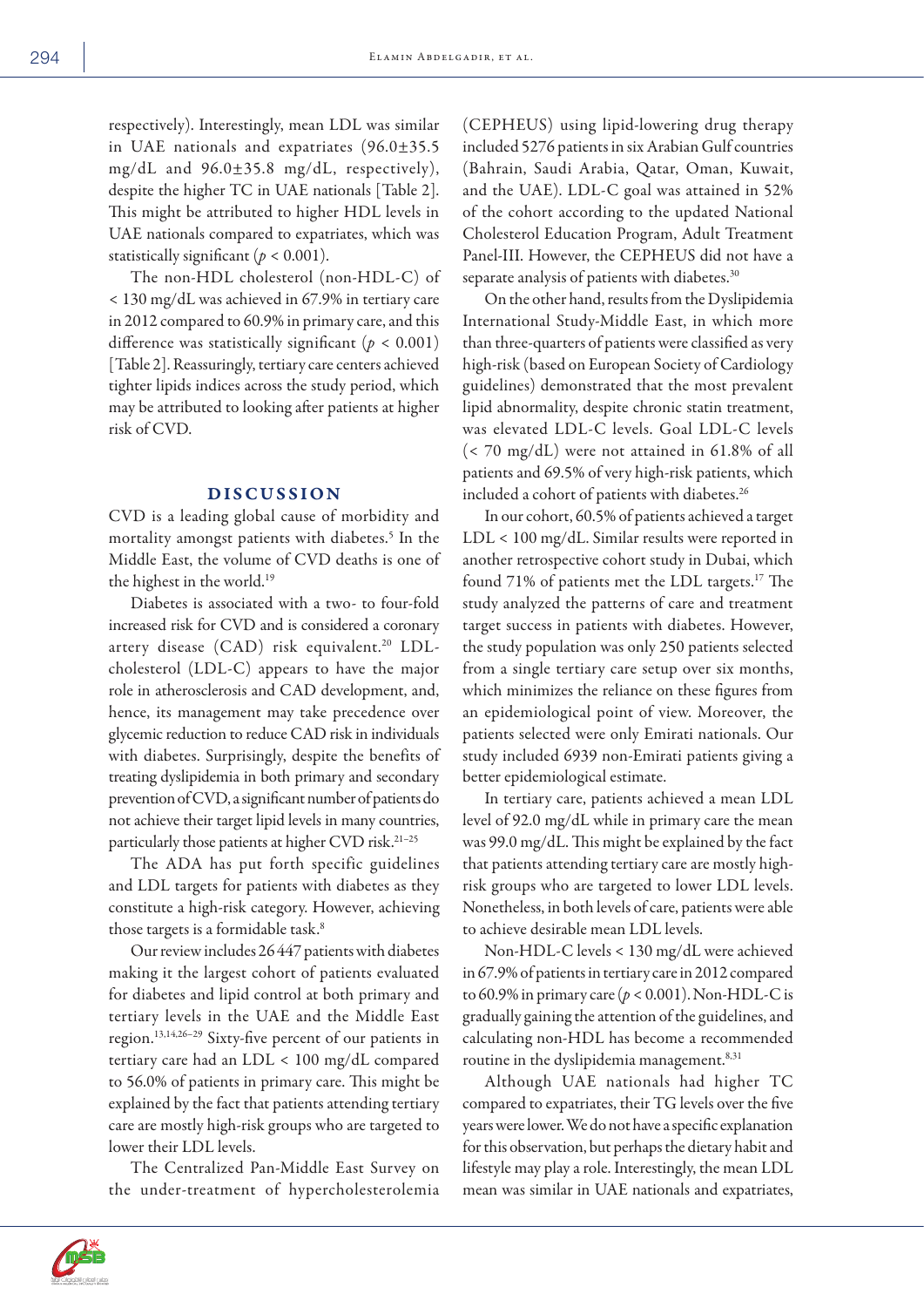respectively). Interestingly, mean LDL was similar in UAE nationals and expatriates (96.0±35.5 mg/dL and 96.0±35.8 mg/dL, respectively), despite the higher TC in UAE nationals [Table 2]. This might be attributed to higher HDL levels in UAE nationals compared to expatriates, which was statistically significant  $(p < 0.001)$ .

The non-HDL cholesterol (non-HDL-C) of < 130 mg/dL was achieved in 67.9% in tertiary care in 2012 compared to 60.9% in primary care, and this difference was statistically significant  $(p < 0.001)$ [Table 2]. Reassuringly, tertiary care centers achieved tighter lipids indices across the study period, which may be attributed to looking after patients at higher risk of CVD.

## DISCUSSION

CVD is a leading global cause of morbidity and mortality amongst patients with diabetes.5 In the Middle East, the volume of CVD deaths is one of the highest in the world.19

Diabetes is associated with a two- to four-fold increased risk for CVD and is considered a coronary artery disease (CAD) risk equivalent.<sup>20</sup> LDLcholesterol (LDL-C) appears to have the major role in atherosclerosis and CAD development, and, hence, its management may take precedence over glycemic reduction to reduce CAD risk in individuals with diabetes. Surprisingly, despite the benefits of treating dyslipidemia in both primary and secondary prevention of CVD, a significant number of patients do not achieve their target lipid levels in many countries, particularly those patients at higher CVD risk.21–25

The ADA has put forth specific guidelines and LDL targets for patients with diabetes as they constitute a high-risk category. However, achieving those targets is a formidable task.<sup>8</sup>

Our review includes 26447 patients with diabetes making it the largest cohort of patients evaluated for diabetes and lipid control at both primary and tertiary levels in the UAE and the Middle East region.13,14,26–29 Sixty-five percent of our patients in tertiary care had an LDL < 100 mg/dL compared to 56.0% of patients in primary care. This might be explained by the fact that patients attending tertiary care are mostly high-risk groups who are targeted to lower their LDL levels.

The Centralized Pan-Middle East Survey on the under-treatment of hypercholesterolemia (CEPHEUS) using lipid-lowering drug therapy included 5276 patients in six Arabian Gulf countries (Bahrain, Saudi Arabia, Qatar, Oman, Kuwait, and the UAE). LDL-C goal was attained in 52% of the cohort according to the updated National Cholesterol Education Program, Adult Treatment Panel-III. However, the CEPHEUS did not have a separate analysis of patients with diabetes.<sup>30</sup>

On the other hand, results from the Dyslipidemia International Study-Middle East, in which more than three-quarters of patients were classified as very high-risk (based on European Society of Cardiology guidelines) demonstrated that the most prevalent lipid abnormality, despite chronic statin treatment, was elevated LDL-C levels. Goal LDL-C levels (< 70 mg/dL) were not attained in 61.8% of all patients and 69.5% of very high-risk patients, which included a cohort of patients with diabetes.<sup>26</sup>

In our cohort, 60.5% of patients achieved a target LDL < 100 mg/dL. Similar results were reported in another retrospective cohort study in Dubai, which found 71% of patients met the LDL targets.17 The study analyzed the patterns of care and treatment target success in patients with diabetes. However, the study population was only 250 patients selected from a single tertiary care setup over six months, which minimizes the reliance on these figures from an epidemiological point of view. Moreover, the patients selected were only Emirati nationals. Our study included 6939 non-Emirati patients giving a better epidemiological estimate.

In tertiary care, patients achieved a mean LDL level of 92.0 mg/dL while in primary care the mean was 99.0 mg/dL. This might be explained by the fact that patients attending tertiary care are mostly highrisk groups who are targeted to lower LDL levels. Nonetheless, in both levels of care, patients were able to achieve desirable mean LDL levels.

Non-HDL-C levels < 130 mg/dL were achieved in 67.9% of patients in tertiary care in 2012 compared to 60.9% in primary care (*p <* 0.001). Non-HDL-C is gradually gaining the attention of the guidelines, and calculating non-HDL has become a recommended routine in the dyslipidemia management.<sup>8,31</sup>

Although UAE nationals had higher TC compared to expatriates, their TG levels over the five years were lower. We do not have a specific explanation for this observation, but perhaps the dietary habit and lifestyle may play a role. Interestingly, the mean LDL mean was similar in UAE nationals and expatriates,

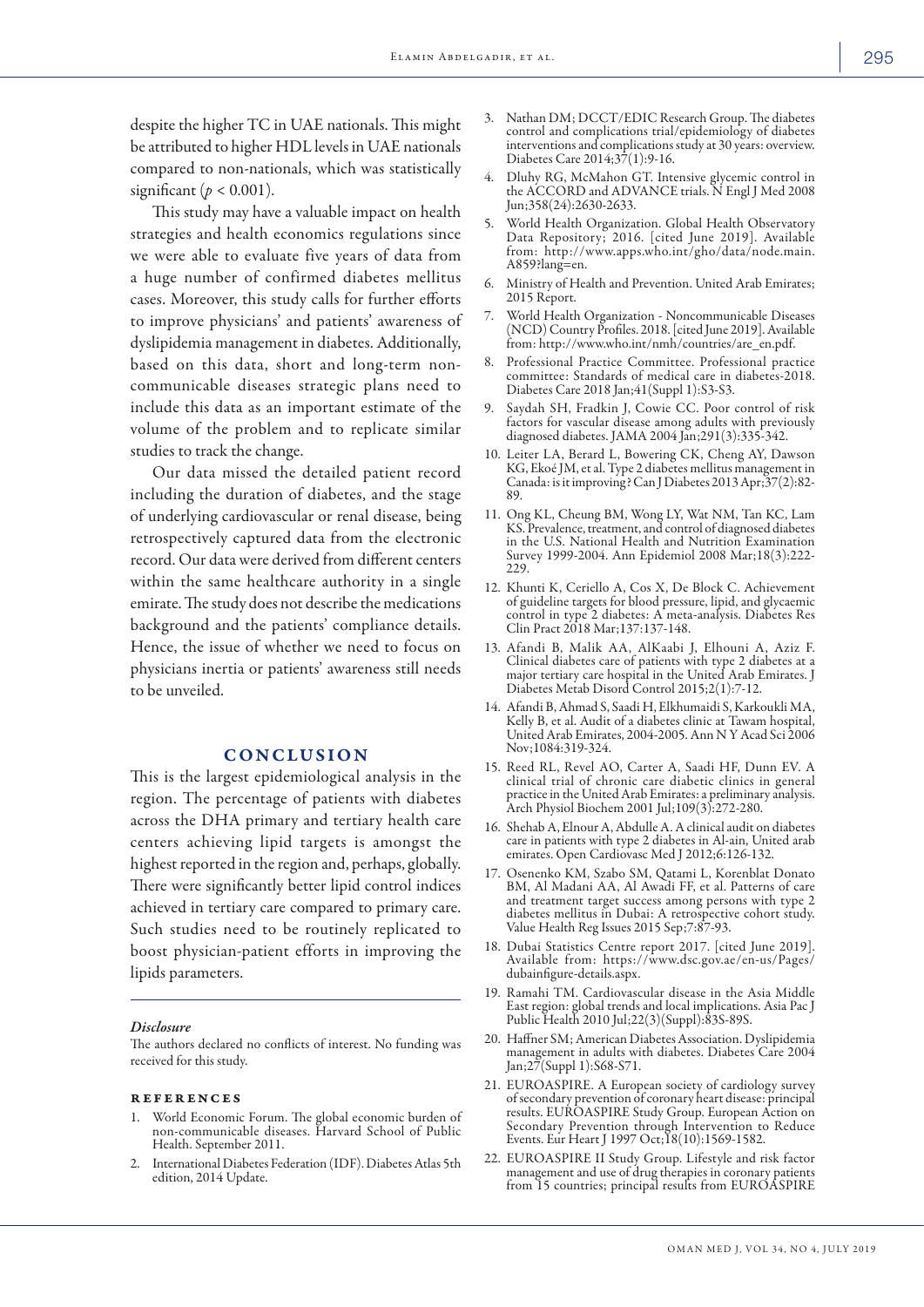despite the higher TC in UAE nationals. This might be attributed to higher HDL levels in UAE nationals compared to non-nationals, which was statistically significant ( $p < 0.001$ ).

This study may have a valuable impact on health strategies and health economics regulations since we were able to evaluate five years of data from a huge number of confirmed diabetes mellitus cases. Moreover, this study calls for further efforts to improve physicians' and patients' awareness of dyslipidemia management in diabetes. Additionally, based on this data, short and long-term noncommunicable diseases strategic plans need to include this data as an important estimate of the volume of the problem and to replicate similar studies to track the change.

Our data missed the detailed patient record including the duration of diabetes, and the stage of underlying cardiovascular or renal disease, being retrospectively captured data from the electronic record. Our data were derived from different centers within the same healthcare authority in a single emirate. The study does not describe the medications background and the patients' compliance details. Hence, the issue of whether we need to focus on physicians inertia or patients' awareness still needs to be unveiled.

## **CONCLUSION**

This is the largest epidemiological analysis in the region. The percentage of patients with diabetes across the DHA primary and tertiary health care centers achieving lipid targets is amongst the highest reported in the region and, perhaps, globally. There were significantly better lipid control indices achieved in tertiary care compared to primary care. Such studies need to be routinely replicated to boost physician-patient efforts in improving the lipids parameters.

#### *Disclosure*

The authors declared no conflicts of interest. No funding was received for this study.

#### references

- 1. World Economic Forum. The global economic burden of non-communicable diseases. Harvard School of Public Health. September 2011.
- 2. International Diabetes Federation (IDF). Diabetes Atlas 5th edition, 2014 Update.
- 3. Nathan DM; DCCT/EDIC Research Group. The diabetes control and complications trial/epidemiology of diabetes interventions and complications study at 30 years: overview. Diabetes Care 2014;37(1):9-16.
- 4. Dluhy RG, McMahon GT. Intensive glycemic control in the ACCORD and ADVANCE trials. N Engl J Med 2008 Jun;358(24):2630-2633.
- 5. World Health Organization. Global Health Observatory Data Repository; 2016. [cited June 2019]. Available from: http://www.apps.who.int/gho/data/node.main. A859?lang=en.
- 6. Ministry of Health and Prevention. United Arab Emirates; 2015 Report.
- 7. World Health Organization Noncommunicable Diseases (NCD) Country Profiles. 2018. [cited June 2019]. Available from: http://www.who.int/nmh/countries/are\_en.pdf.
- 8. Professional Practice Committee. Professional practice committee: Standards of medical care in diabetes-2018. Diabetes Care 2018 Jan;41(Suppl 1):S3-S3.
- 9. Saydah SH, Fradkin J, Cowie CC. Poor control of risk factors for vascular disease among adults with previously diagnosed diabetes. JAMA 2004 Jan;291(3):335-342.
- 10. Leiter LA, Berard L, Bowering CK, Cheng AY, Dawson KG, Ekoé JM, et al. Type 2 diabetes mellitus management in Canada: is it improving? Can J Diabetes 2013 Apr;37(2):82- 89.
- 11. Ong KL, Cheung BM, Wong LY, Wat NM, Tan KC, Lam KS. Prevalence, treatment, and control of diagnosed diabetes in the U.S. National Health and Nutrition Examination Survey 1999-2004. Ann Epidemiol 2008 Mar;18(3):222- 229.
- 12. Khunti K, Ceriello A, Cos X, De Block C. Achievement of guideline targets for blood pressure, lipid, and glycaemic control in type 2 diabetes: A meta-analysis. Diabetes Res Clin Pract 2018 Mar;137:137-148.
- 13. Afandi B, Malik AA, AlKaabi J, Elhouni A, Aziz F. Clinical diabetes care of patients with type 2 diabetes at a major tertiary care hospital in the United Arab Emirates. J Diabetes Metab Disord Control 2015;2(1):7-12.
- 14. Afandi B, Ahmad S, Saadi H, Elkhumaidi S, Karkoukli MA, Kelly B, et al. Audit of a diabetes clinic at Tawam hospital, United Arab Emirates, 2004-2005. Ann N Y Acad Sci 2006 Nov;1084:319-324.
- 15. Reed RL, Revel AO, Carter A, Saadi HF, Dunn EV. A clinical trial of chronic care diabetic clinics in general practice in the United Arab Emirates: a preliminary analysis. Arch Physiol Biochem 2001 Jul;109(3):272-280.
- 16. Shehab A, Elnour A, Abdulle A. A clinical audit on diabetes care in patients with type 2 diabetes in Al-ain, United arab emirates. Open Cardiovasc Med J 2012;6:126-132.
- 17. Osenenko KM, Szabo SM, Qatami L, Korenblat Donato BM, Al Madani AA, Al Awadi FF, et al. Patterns of care and treatment target success among persons with type 2 diabetes mellitus in Dubai: A retrospective cohort study. Value Health Reg Issues 2015 Sep;7:87-93.
- 18. Dubai Statistics Centre report 2017. [cited June 2019]. Available from: https://www.dsc.gov.ae/en-us/Pages/ dubainfigure-details.aspx.
- 19. Ramahi TM. Cardiovascular disease in the Asia Middle East region: global trends and local implications. Asia Pac J Public Health 2010 Jul;22(3)(Suppl):83S-89S.
- 20. Haffner SM; American Diabetes Association. Dyslipidemia management in adults with diabetes. Diabetes Care 2004 Jan;27(Suppl 1):S68-S71.
- 21. EUROASPIRE. A European society of cardiology survey of secondary prevention of coronary heart disease: principal results. EUROASPIRE Study Group. European Action on Secondary Prevention through Intervention to Reduce Events. Eur Heart J 1997 Oct;18(10):1569-1582.
- 22. EUROASPIRE II Study Group. Lifestyle and risk factor management and use of drug therapies in coronary patients from 15 countries; principal results from EUROASPIRE